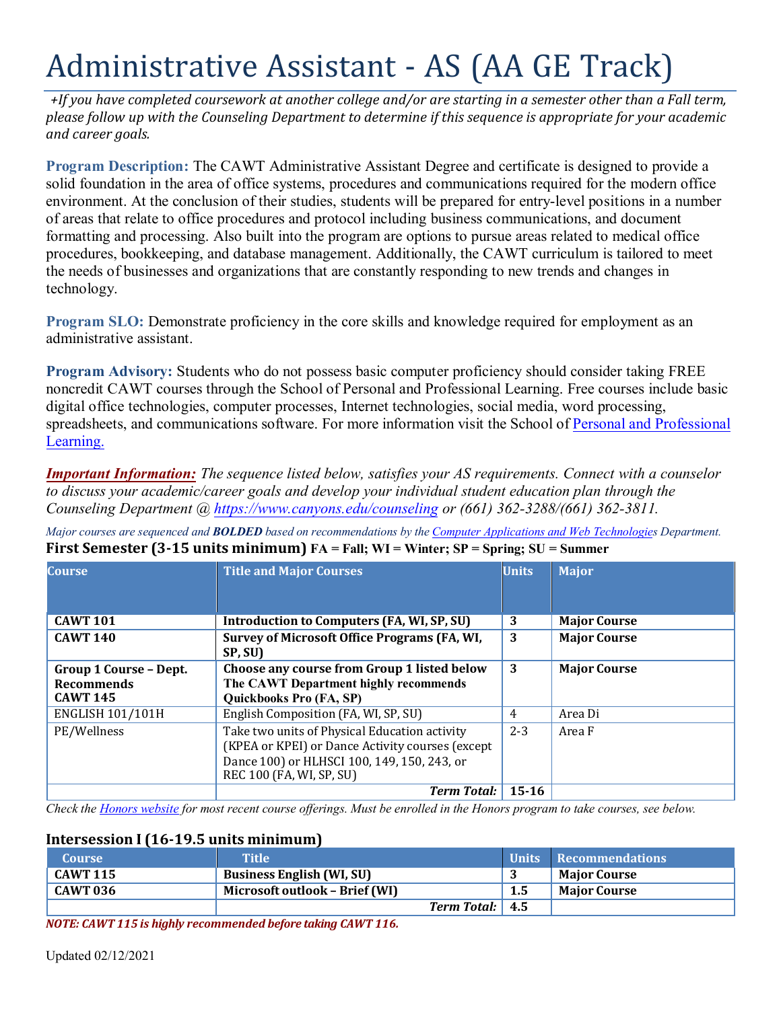# Administrative Assistant - AS (AA GE Track)

 *and career goals. +If you have completed coursework at another college and/or are starting in a semester other than a Fall term, please follow up with the Counseling Department to determine if this sequence is appropriate for your academic* 

 formatting and processing. Also built into the program are options to pursue areas related to medical office the needs of businesses and organizations that are constantly responding to new trends and changes in **Program Description:** The CAWT Administrative Assistant Degree and certificate is designed to provide a solid foundation in the area of office systems, procedures and communications required for the modern office environment. At the conclusion of their studies, students will be prepared for entry-level positions in a number of areas that relate to office procedures and protocol including business communications, and document procedures, bookkeeping, and database management. Additionally, the CAWT curriculum is tailored to meet technology.

**Program SLO:** Demonstrate proficiency in the core skills and knowledge required for employment as an administrative assistant.

**Program Advisory:** Students who do not possess basic computer proficiency should consider taking FREE noncredit CAWT courses through the School of Personal and Professional Learning. Free courses include basic digital office technologies, computer processes, Internet technologies, social media, word processing, spreadsheets, and communications software. For more information visit the School of [Personal and Professional](https://www.canyons.edu/academics/schools/ppl/)  [Learning.](https://www.canyons.edu/academics/schools/ppl/)

*Important Information: The sequence listed below, satisfies your AS requirements. Connect with a counselor to discuss your academic/career goals and develop your individual student education plan through the Counseling Department @<https://www.canyons.edu/counseling>or (661) 362-3288/(661) 362-3811.* 

*Major courses are sequenced and BOLDED based on recommendations by the [Computer Applications and Web Technologies](https://www.canyons.edu/academics/computerapplications/index.php) Department.*  **First Semester (3-15 units minimum) FA = Fall; WI = Winter; SP = Spring; SU = Summer** 

| <b>Course</b>                 | <b>Title and Major Courses</b>                      | <b>Units</b> | <b>Major</b>        |
|-------------------------------|-----------------------------------------------------|--------------|---------------------|
|                               |                                                     |              |                     |
| <b>CAWT 101</b>               | Introduction to Computers (FA, WI, SP, SU)          | 3            | <b>Major Course</b> |
| <b>CAWT 140</b>               | <b>Survey of Microsoft Office Programs (FA, WI,</b> | 3            | <b>Major Course</b> |
|                               | SP, SU)                                             |              |                     |
| <b>Group 1 Course - Dept.</b> | Choose any course from Group 1 listed below         | 3            | <b>Major Course</b> |
| <b>Recommends</b>             | The CAWT Department highly recommends               |              |                     |
| <b>CAWT 145</b>               | Quickbooks Pro (FA, SP)                             |              |                     |
| <b>ENGLISH 101/101H</b>       | English Composition (FA, WI, SP, SU)                | 4            | Area Di             |
| PE/Wellness                   | Take two units of Physical Education activity       | $2 - 3$      | Area F              |
|                               | (KPEA or KPEI) or Dance Activity courses (except)   |              |                     |
|                               | Dance 100) or HLHSCI 100, 149, 150, 243, or         |              |                     |
|                               | REC 100 (FA, WI, SP, SU)                            |              |                     |
|                               | <b>Term Total:</b>                                  | $15 - 16$    |                     |

 *Check the [Honors website](https://www.canyons.edu/academics/honors/index.php) for most recent course offerings. Must be enrolled in the Honors program to take courses, see below.* 

#### **Intersession I (16-19.5 units minimum)**

| <b>Course</b>   | Title'                           |     | Units Recommendations |
|-----------------|----------------------------------|-----|-----------------------|
| <b>CAWT 115</b> | <b>Business English (WI, SU)</b> |     | <b>Major Course</b>   |
| CAWT 036        | Microsoft outlook - Brief (WI)   | 1.5 | <b>Maior Course</b>   |
|                 | <b>Term Total:</b> 4.5           |     |                       |

*NOTE: CAWT 115 is highly recommended before taking CAWT 116.*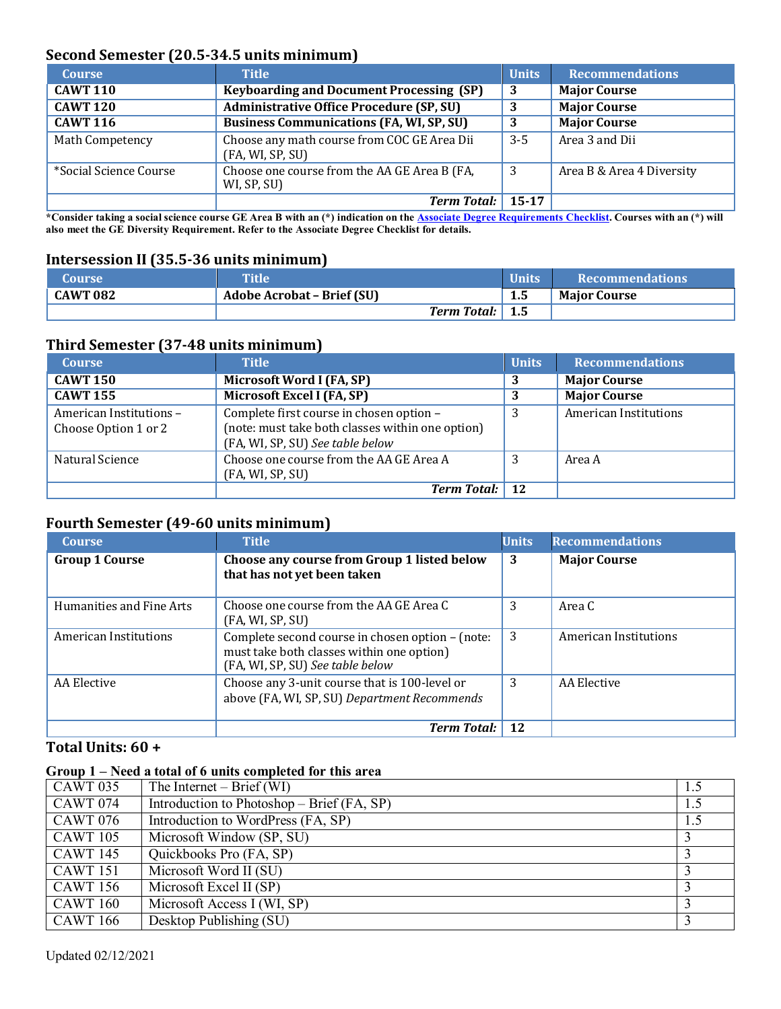## **Second Semester (20.5-34.5 units minimum)**

| <b>Course</b>          | <b>Title</b>                                                    | <b>Units</b> | <b>Recommendations</b>    |
|------------------------|-----------------------------------------------------------------|--------------|---------------------------|
| <b>CAWT 110</b>        | <b>Keyboarding and Document Processing (SP)</b>                 | 3            | <b>Major Course</b>       |
| <b>CAWT 120</b>        | <b>Administrative Office Procedure (SP, SU)</b>                 | 3            | <b>Major Course</b>       |
| <b>CAWT 116</b>        | <b>Business Communications (FA, WI, SP, SU)</b>                 | 3            | <b>Major Course</b>       |
| Math Competency        | Choose any math course from COC GE Area Dii<br>(FA, WI, SP, SU) | $3-5$        | Area 3 and Dii            |
| *Social Science Course | Choose one course from the AA GE Area B (FA,<br>WI, SP, SU)     | - 3          | Area B & Area 4 Diversity |
|                        | <b>Term Total:</b>                                              | 15-17        |                           |

\*Consider taking a social science course GE Area B with an (\*) indication on the Associate Degree [Requirements](https://www.canyons.edu/studentservices/counseling/degrees/generaled.php) Checklist. Courses with an (\*) will **also meet the GE Diversity Requirement. Refer to the Associate Degree Checklist for details.**

#### **Intersession II (35.5-36 units minimum)**

| <b>Course</b> | <b>Title</b>                      | <b>Units</b> | <b>Recommendations</b> |
|---------------|-----------------------------------|--------------|------------------------|
| CAWT 082      | <b>Adobe Acrobat - Brief (SU)</b> | $1.5\,$      | <b>Maior Course</b>    |
|               | <b>Term Total:</b> 1.5            |              |                        |

#### **Third Semester (37-48 units minimum)**

| <b>Course</b>                                  | <b>Title</b>                                                                                                                     | <b>Units</b> | <b>Recommendations</b> |
|------------------------------------------------|----------------------------------------------------------------------------------------------------------------------------------|--------------|------------------------|
| <b>CAWT 150</b>                                | Microsoft Word I (FA, SP)                                                                                                        | 3            | <b>Major Course</b>    |
| <b>CAWT 155</b>                                | Microsoft Excel I (FA, SP)                                                                                                       |              | <b>Major Course</b>    |
| American Institutions-<br>Choose Option 1 or 2 | Complete first course in chosen option -<br>(note: must take both classes within one option)<br>(FA, WI, SP, SU) See table below |              | American Institutions  |
| Natural Science                                | Choose one course from the AA GE Area A<br>(FA, WI, SP, SU)                                                                      |              | Area A                 |
|                                                | <b>Term Total:</b> 12                                                                                                            |              |                        |

## **Fourth Semester (49-60 units minimum)**

| <b>Course</b>            | <b>Title</b>                                                                                                                      | <b>Units</b> | <b>Recommendations</b> |
|--------------------------|-----------------------------------------------------------------------------------------------------------------------------------|--------------|------------------------|
| <b>Group 1 Course</b>    | Choose any course from Group 1 listed below<br>that has not yet been taken                                                        | 3            | <b>Major Course</b>    |
| Humanities and Fine Arts | Choose one course from the AA GE Area C<br>(FA, WI, SP, SU)                                                                       | 3            | Area C                 |
| American Institutions    | Complete second course in chosen option - (note:<br>must take both classes within one option)<br>(FA, WI, SP, SU) See table below | 3            | American Institutions  |
| AA Elective              | Choose any 3-unit course that is 100-level or<br>above (FA, WI, SP, SU) Department Recommends                                     | 3            | AA Elective            |
|                          | <b>Term Total:</b>                                                                                                                | 12           |                        |

## **Total Units: 60 +**

#### **Group 1 – Need a total of 6 units completed for this area**

| <b>CAWT 035</b> | The Internet $-$ Brief (WI)                  | 1.5 |
|-----------------|----------------------------------------------|-----|
| <b>CAWT 074</b> | Introduction to Photoshop – Brief $(FA, SP)$ | 1.5 |
| <b>CAWT 076</b> | Introduction to WordPress (FA, SP)           | 1.5 |
| <b>CAWT 105</b> | Microsoft Window (SP, SU)                    |     |
| <b>CAWT 145</b> | Quickbooks Pro (FA, SP)                      |     |
| <b>CAWT</b> 151 | Microsoft Word II (SU)                       |     |
| <b>CAWT 156</b> | Microsoft Excel II (SP)                      |     |
| <b>CAWT 160</b> | Microsoft Access I (WI, SP)                  |     |
| <b>CAWT</b> 166 | Desktop Publishing (SU)                      |     |